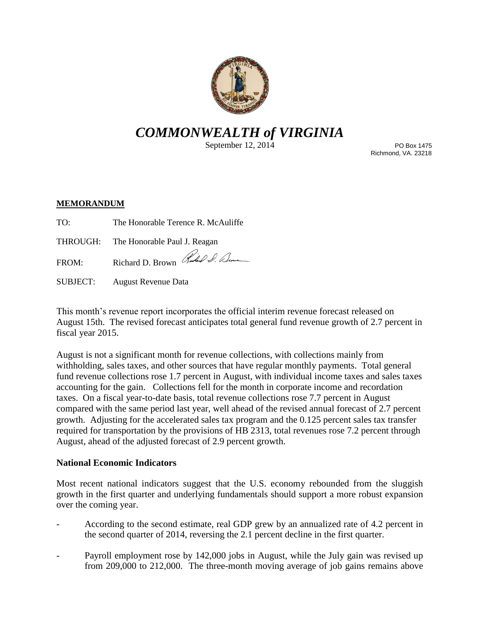

# *COMMONWEALTH of VIRGINIA*

September 12, 2014

PO Box 1475 Richmond, VA. 23218

## **MEMORANDUM**

| TO: | The Honorable Terence R. McAuliffe |  |
|-----|------------------------------------|--|
|     |                                    |  |

THROUGH: The Honorable Paul J. Reagan

FROM: Richard D. Brown Red D. Dum

SUBJECT: August Revenue Data

This month's revenue report incorporates the official interim revenue forecast released on August 15th. The revised forecast anticipates total general fund revenue growth of 2.7 percent in fiscal year 2015.

August is not a significant month for revenue collections, with collections mainly from withholding, sales taxes, and other sources that have regular monthly payments. Total general fund revenue collections rose 1.7 percent in August, with individual income taxes and sales taxes accounting for the gain. Collections fell for the month in corporate income and recordation taxes. On a fiscal year-to-date basis, total revenue collections rose 7.7 percent in August compared with the same period last year, well ahead of the revised annual forecast of 2.7 percent growth. Adjusting for the accelerated sales tax program and the 0.125 percent sales tax transfer required for transportation by the provisions of HB 2313, total revenues rose 7.2 percent through August, ahead of the adjusted forecast of 2.9 percent growth.

## **National Economic Indicators**

Most recent national indicators suggest that the U.S. economy rebounded from the sluggish growth in the first quarter and underlying fundamentals should support a more robust expansion over the coming year.

- According to the second estimate, real GDP grew by an annualized rate of 4.2 percent in the second quarter of 2014, reversing the 2.1 percent decline in the first quarter.
- Payroll employment rose by 142,000 jobs in August, while the July gain was revised up from 209,000 to 212,000. The three-month moving average of job gains remains above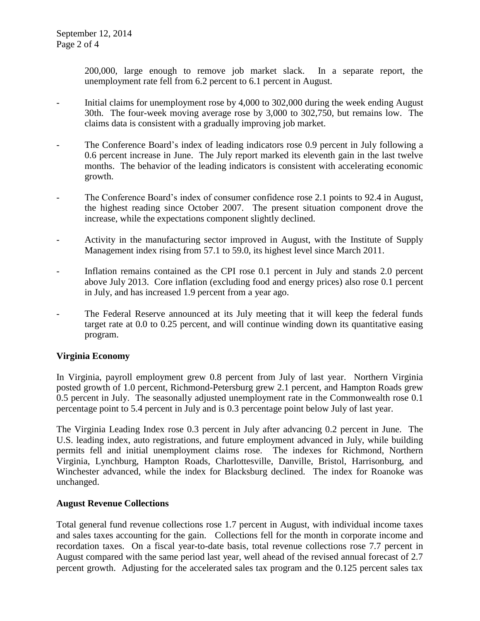200,000, large enough to remove job market slack. In a separate report, the unemployment rate fell from 6.2 percent to 6.1 percent in August.

- Initial claims for unemployment rose by 4,000 to 302,000 during the week ending August 30th. The four-week moving average rose by 3,000 to 302,750, but remains low. The claims data is consistent with a gradually improving job market.
- The Conference Board's index of leading indicators rose 0.9 percent in July following a 0.6 percent increase in June. The July report marked its eleventh gain in the last twelve months. The behavior of the leading indicators is consistent with accelerating economic growth.
- The Conference Board's index of consumer confidence rose 2.1 points to 92.4 in August, the highest reading since October 2007. The present situation component drove the increase, while the expectations component slightly declined.
- Activity in the manufacturing sector improved in August, with the Institute of Supply Management index rising from 57.1 to 59.0, its highest level since March 2011.
- Inflation remains contained as the CPI rose 0.1 percent in July and stands 2.0 percent above July 2013. Core inflation (excluding food and energy prices) also rose 0.1 percent in July, and has increased 1.9 percent from a year ago.
- The Federal Reserve announced at its July meeting that it will keep the federal funds target rate at 0.0 to 0.25 percent, and will continue winding down its quantitative easing program.

## **Virginia Economy**

In Virginia, payroll employment grew 0.8 percent from July of last year. Northern Virginia posted growth of 1.0 percent, Richmond-Petersburg grew 2.1 percent, and Hampton Roads grew 0.5 percent in July. The seasonally adjusted unemployment rate in the Commonwealth rose 0.1 percentage point to 5.4 percent in July and is 0.3 percentage point below July of last year.

The Virginia Leading Index rose 0.3 percent in July after advancing 0.2 percent in June. The U.S. leading index, auto registrations, and future employment advanced in July, while building permits fell and initial unemployment claims rose. The indexes for Richmond, Northern Virginia, Lynchburg, Hampton Roads, Charlottesville, Danville, Bristol, Harrisonburg, and Winchester advanced, while the index for Blacksburg declined. The index for Roanoke was unchanged.

### **August Revenue Collections**

Total general fund revenue collections rose 1.7 percent in August, with individual income taxes and sales taxes accounting for the gain. Collections fell for the month in corporate income and recordation taxes. On a fiscal year-to-date basis, total revenue collections rose 7.7 percent in August compared with the same period last year, well ahead of the revised annual forecast of 2.7 percent growth. Adjusting for the accelerated sales tax program and the 0.125 percent sales tax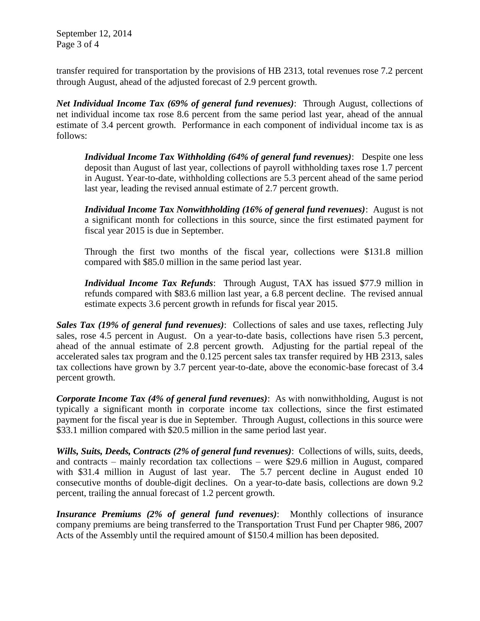September 12, 2014 Page 3 of 4

transfer required for transportation by the provisions of HB 2313, total revenues rose 7.2 percent through August, ahead of the adjusted forecast of 2.9 percent growth.

*Net Individual Income Tax (69% of general fund revenues)*: Through August, collections of net individual income tax rose 8.6 percent from the same period last year, ahead of the annual estimate of 3.4 percent growth. Performance in each component of individual income tax is as follows:

*Individual Income Tax Withholding (64% of general fund revenues)*: Despite one less deposit than August of last year, collections of payroll withholding taxes rose 1.7 percent in August. Year-to-date, withholding collections are 5.3 percent ahead of the same period last year, leading the revised annual estimate of 2.7 percent growth.

*Individual Income Tax Nonwithholding (16% of general fund revenues)*: August is not a significant month for collections in this source, since the first estimated payment for fiscal year 2015 is due in September.

Through the first two months of the fiscal year, collections were \$131.8 million compared with \$85.0 million in the same period last year.

*Individual Income Tax Refunds*: Through August, TAX has issued \$77.9 million in refunds compared with \$83.6 million last year, a 6.8 percent decline. The revised annual estimate expects 3.6 percent growth in refunds for fiscal year 2015.

*Sales Tax (19% of general fund revenues)*: Collections of sales and use taxes, reflecting July sales, rose 4.5 percent in August. On a year-to-date basis, collections have risen 5.3 percent, ahead of the annual estimate of 2.8 percent growth. Adjusting for the partial repeal of the accelerated sales tax program and the 0.125 percent sales tax transfer required by HB 2313, sales tax collections have grown by 3.7 percent year-to-date, above the economic-base forecast of 3.4 percent growth.

*Corporate Income Tax (4% of general fund revenues)*: As with nonwithholding, August is not typically a significant month in corporate income tax collections, since the first estimated payment for the fiscal year is due in September. Through August, collections in this source were \$33.1 million compared with \$20.5 million in the same period last year.

*Wills, Suits, Deeds, Contracts (2% of general fund revenues)*: Collections of wills, suits, deeds, and contracts – mainly recordation tax collections – were \$29.6 million in August, compared with \$31.4 million in August of last year. The 5.7 percent decline in August ended 10 consecutive months of double-digit declines. On a year-to-date basis, collections are down 9.2 percent, trailing the annual forecast of 1.2 percent growth.

*Insurance Premiums (2% of general fund revenues)*: Monthly collections of insurance company premiums are being transferred to the Transportation Trust Fund per Chapter 986, 2007 Acts of the Assembly until the required amount of \$150.4 million has been deposited.